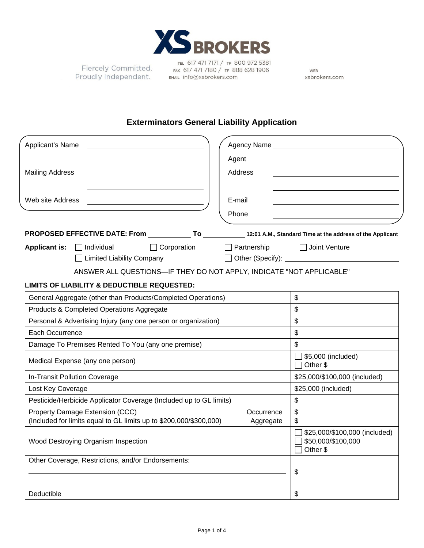

Fiercely Committed. Proudly Independent.

TEL 617 471 7171 / TF 800 972 5381 FAX 617 471 7180 / TF 888 628 1906 EMAIL Info@xsbrokers.com

WEB xsbrokers.com

## **Exterminators General Liability Application**

| Applicant's Name                                                                                                         |                                                                 | Agency Name example and the state of the state of the state of the state of the state of the state of the state of the state of the state of the state of the state of the state of the state of the state of the state of the |  |
|--------------------------------------------------------------------------------------------------------------------------|-----------------------------------------------------------------|--------------------------------------------------------------------------------------------------------------------------------------------------------------------------------------------------------------------------------|--|
|                                                                                                                          | Agent                                                           |                                                                                                                                                                                                                                |  |
| <b>Mailing Address</b>                                                                                                   | Address                                                         |                                                                                                                                                                                                                                |  |
|                                                                                                                          |                                                                 |                                                                                                                                                                                                                                |  |
| Web site Address                                                                                                         | E-mail                                                          |                                                                                                                                                                                                                                |  |
|                                                                                                                          | Phone                                                           |                                                                                                                                                                                                                                |  |
| PROPOSED EFFECTIVE DATE: From _______________ To _____________ 12:01 A.M., Standard Time at the address of the Applicant |                                                                 |                                                                                                                                                                                                                                |  |
| Applicant is: Individual<br>$\Box$ Corporation<br>□ Limited Liability Company                                            | $\Box$ Partnership                                              | Joint Venture                                                                                                                                                                                                                  |  |
| ANSWER ALL QUESTIONS-IF THEY DO NOT APPLY, INDICATE "NOT APPLICABLE"                                                     |                                                                 |                                                                                                                                                                                                                                |  |
| <b>LIMITS OF LIABILITY &amp; DEDUCTIBLE REQUESTED:</b>                                                                   |                                                                 |                                                                                                                                                                                                                                |  |
| General Aggregate (other than Products/Completed Operations)                                                             |                                                                 | \$                                                                                                                                                                                                                             |  |
| Products & Completed Operations Aggregate                                                                                |                                                                 | \$                                                                                                                                                                                                                             |  |
| Personal & Advertising Injury (any one person or organization)                                                           |                                                                 | \$                                                                                                                                                                                                                             |  |
| Each Occurrence                                                                                                          | \$                                                              |                                                                                                                                                                                                                                |  |
| Damage To Premises Rented To You (any one premise)                                                                       |                                                                 | \$                                                                                                                                                                                                                             |  |
| Medical Expense (any one person)                                                                                         | \$5,000 (included)<br>Other \$                                  |                                                                                                                                                                                                                                |  |
| In-Transit Pollution Coverage                                                                                            |                                                                 | \$25,000/\$100,000 (included)                                                                                                                                                                                                  |  |
| Lost Key Coverage                                                                                                        |                                                                 | \$25,000 (included)                                                                                                                                                                                                            |  |
| Pesticide/Herbicide Applicator Coverage (Included up to GL limits)                                                       |                                                                 | \$                                                                                                                                                                                                                             |  |
| Property Damage Extension (CCC)<br>(Included for limits equal to GL limits up to \$200,000/\$300,000)                    | Occurrence<br>Aggregate                                         | \$<br>\$                                                                                                                                                                                                                       |  |
| Wood Destroying Organism Inspection                                                                                      | \$25,000/\$100,000 (included)<br>\$50,000/\$100,000<br>Other \$ |                                                                                                                                                                                                                                |  |
| Other Coverage, Restrictions, and/or Endorsements:                                                                       |                                                                 | \$                                                                                                                                                                                                                             |  |
|                                                                                                                          |                                                                 |                                                                                                                                                                                                                                |  |
| Deductible                                                                                                               |                                                                 | \$                                                                                                                                                                                                                             |  |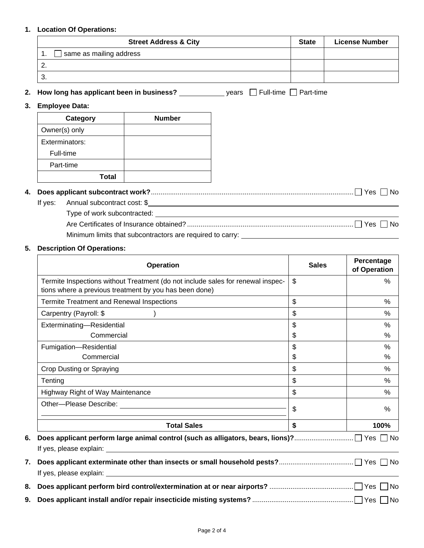### **1. Location Of Operations:**

| <b>Street Address &amp; City</b> | <b>State</b> | <b>License Number</b> |
|----------------------------------|--------------|-----------------------|
| same as mailing address          |              |                       |
| <u>.</u>                         |              |                       |
| 3.                               |              |                       |

**2. How long has applicant been in business?** years Full-time Part-time

### **3. Employee Data:**

| Category       | <b>Number</b> |
|----------------|---------------|
| Owner(s) only  |               |
| Exterminators: |               |
| Full-time      |               |
| Part-time      |               |
| <b>Total</b>   |               |

# **4. Does applicant subcontract work?** .......................................................................................................... Yes No

If yes: Annual subcontract cost: \$ Type of work subcontracted: Are Certificates of Insurance obtained? ....................................................................................... Yes No Minimum limits that subcontractors are required to carry:

### **5. Description Of Operations:**

| <b>Operation</b>                                                                                                                          | <b>Sales</b>       | Percentage<br>of Operation |
|-------------------------------------------------------------------------------------------------------------------------------------------|--------------------|----------------------------|
| Termite Inspections without Treatment (do not include sales for renewal inspec-<br>tions where a previous treatment by you has been done) | $\mathfrak{L}$     | $\%$                       |
| Termite Treatment and Renewal Inspections                                                                                                 | \$                 | %                          |
| Carpentry (Payroll: \$                                                                                                                    | \$                 | $\%$                       |
| Exterminating-Residential<br>Commercial                                                                                                   | \$<br>\$           | %<br>$\%$                  |
| Fumigation-Residential<br>Commercial                                                                                                      | \$<br>\$           | $\%$<br>%                  |
| Crop Dusting or Spraying                                                                                                                  | \$                 | $\%$                       |
| Tenting                                                                                                                                   | \$                 | %                          |
| Highway Right of Way Maintenance                                                                                                          | $\mathfrak{S}$     | %                          |
|                                                                                                                                           | \$                 | $\%$                       |
| <b>Total Sales</b>                                                                                                                        | $\mathbf{\hat{s}}$ | 100%                       |
| 6.                                                                                                                                        |                    |                            |
| 7.                                                                                                                                        |                    |                            |
| 8.                                                                                                                                        |                    |                            |
|                                                                                                                                           |                    |                            |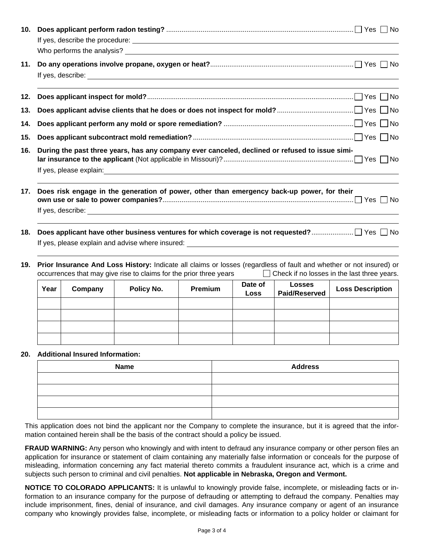| 10. |                                                                                                                                                                                                                                      |  |  |  |  |
|-----|--------------------------------------------------------------------------------------------------------------------------------------------------------------------------------------------------------------------------------------|--|--|--|--|
| 11. | If yes, describe: <u>example and the set of the set of the set of the set of the set of the set of the set of the set of the set of the set of the set of the set of the set of the set of the set of the set of the set of the </u> |  |  |  |  |
| 12. |                                                                                                                                                                                                                                      |  |  |  |  |
| 13. |                                                                                                                                                                                                                                      |  |  |  |  |
| 14. |                                                                                                                                                                                                                                      |  |  |  |  |
| 15. |                                                                                                                                                                                                                                      |  |  |  |  |
| 16. | During the past three years, has any company ever canceled, declined or refused to issue simi-                                                                                                                                       |  |  |  |  |
| 17. | Does risk engage in the generation of power, other than emergency back-up power, for their                                                                                                                                           |  |  |  |  |
|     |                                                                                                                                                                                                                                      |  |  |  |  |
| 18. | Does applicant have other business ventures for which coverage is not requested? 了 Yes □ No<br>If yes, please explain and advise where insured:                                                                                      |  |  |  |  |

**19. Prior Insurance And Loss History:** Indicate all claims or losses (regardless of fault and whether or not insured) or occurrences that may give rise to claims for the prior three years  $\Box$  Check if no losses in the last three years.

| Year | Company | Policy No. | Premium | Date of<br><b>Loss</b> | <b>Losses</b><br><b>Paid/Reserved</b> | <b>Loss Description</b> |
|------|---------|------------|---------|------------------------|---------------------------------------|-------------------------|
|      |         |            |         |                        |                                       |                         |
|      |         |            |         |                        |                                       |                         |
|      |         |            |         |                        |                                       |                         |
|      |         |            |         |                        |                                       |                         |

### **20. Additional Insured Information:**

| <b>Name</b> | <b>Address</b> |
|-------------|----------------|
|             |                |
|             |                |
|             |                |
|             |                |

This application does not bind the applicant nor the Company to complete the insurance, but it is agreed that the information contained herein shall be the basis of the contract should a policy be issued.

**FRAUD WARNING:** Any person who knowingly and with intent to defraud any insurance company or other person files an application for insurance or statement of claim containing any materially false information or conceals for the purpose of misleading, information concerning any fact material thereto commits a fraudulent insurance act, which is a crime and subjects such person to criminal and civil penalties. **Not applicable in Nebraska, Oregon and Vermont.**

**NOTICE TO COLORADO APPLICANTS:** It is unlawful to knowingly provide false, incomplete, or misleading facts or information to an insurance company for the purpose of defrauding or attempting to defraud the company. Penalties may include imprisonment, fines, denial of insurance, and civil damages. Any insurance company or agent of an insurance company who knowingly provides false, incomplete, or misleading facts or information to a policy holder or claimant for